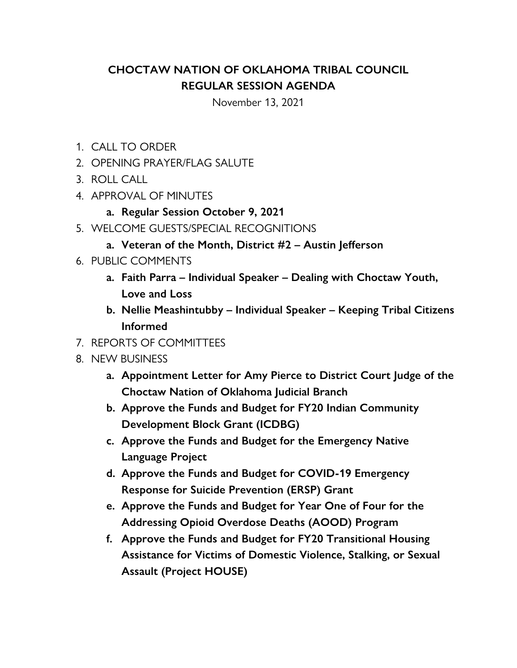## **CHOCTAW NATION OF OKLAHOMA TRIBAL COUNCIL REGULAR SESSION AGENDA**

November 13, 2021

- 1. CALL TO ORDER
- 2. OPENING PRAYER/FLAG SALUTE
- 3. ROLL CALL
- 4. APPROVAL OF MINUTES
	- **a. Regular Session October 9, 2021**
- 5. WELCOME GUESTS/SPECIAL RECOGNITIONS
	- **a. Veteran of the Month, District #2 Austin Jefferson**
- 6. PUBLIC COMMENTS
	- **a. Faith Parra Individual Speaker Dealing with Choctaw Youth, Love and Loss**
	- **b. Nellie Meashintubby Individual Speaker Keeping Tribal Citizens Informed**
- 7. REPORTS OF COMMITTEES
- 8. NEW BUSINESS
	- **a. Appointment Letter for Amy Pierce to District Court Judge of the Choctaw Nation of Oklahoma Judicial Branch**
	- **b. Approve the Funds and Budget for FY20 Indian Community Development Block Grant (ICDBG)**
	- **c. Approve the Funds and Budget for the Emergency Native Language Project**
	- **d. Approve the Funds and Budget for COVID-19 Emergency Response for Suicide Prevention (ERSP) Grant**
	- **e. Approve the Funds and Budget for Year One of Four for the Addressing Opioid Overdose Deaths (AOOD) Program**
	- **f. Approve the Funds and Budget for FY20 Transitional Housing Assistance for Victims of Domestic Violence, Stalking, or Sexual Assault (Project HOUSE)**